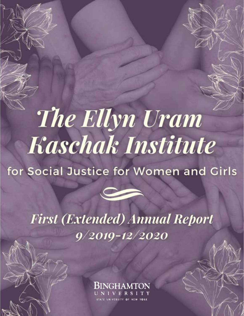# The Ellyn Uram **Kaschak Institute**

### for Social Justice for Women and Girls



## **First (Extended) Annual Report**  $9/2019 - 12/2020$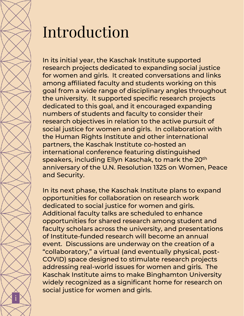

## Introduction

In its initial year, the Kaschak Institute supported research projects dedicated to expanding social justice for women and girls. It created conversations and links among affiliated faculty and students working on this goal from a wide range of disciplinary angles throughout the university. It supported specific research projects dedicated to this goal, and it encouraged expanding numbers of students and faculty to consider their research objectives in relation to the active pursuit of social justice for women and girls. In collaboration with the Human Rights Institute and other international partners, the Kaschak Institute co-hosted an international conference featuring distinguished speakers, including Ellyn Kaschak, to mark the 20th anniversary of the U.N. Resolution 1325 on Women, Peace and Security.

In its next phase, the Kaschak Institute plans to expand opportunities for collaboration on research work dedicated to social justice for women and girls. Additional faculty talks are scheduled to enhance opportunities for shared research among student and faculty scholars across the university, and presentations of Institute-funded research will become an annual event. Discussions are underway on the creation of a "collaboratory," a virtual (and eventually physical, post-COVID) space designed to stimulate research projects addressing real-world issues for women and girls. The Kaschak Institute aims to make Binghamton University widely recognized as a significant home for research on social justice for women and girls.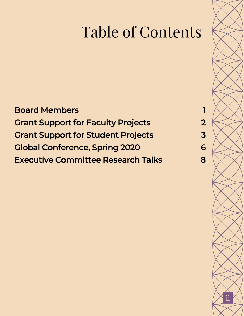## Table of Contents

### Board Members 1 Grant Support for Faculty Projects 2 Grant Support for Student Projects 3 Global Conference, Spring 2020 6 **Executive Committee Research Talks** 8

ii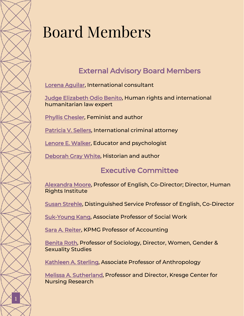## Board Members

#### External Advisory Board Members

[Lorena Aguilar,](https://www.binghamton.edu/institutes/kaschak-social-justice-institute/about/external-advisory-board/aguilar.html) International consultant

[Judge Elizabeth Odio](https://www.binghamton.edu/institutes/kaschak-social-justice-institute/about/external-advisory-board/odio-benito.html) Benito, Human rights and international humanitarian law expert

[Phyllis Chesler](https://www.binghamton.edu/institutes/kaschak-social-justice-institute/about/external-advisory-board/chesler.html), Feminist and author

[Patricia V. Sellers,](https://www.binghamton.edu/institutes/kaschak-social-justice-institute/about/external-advisory-board/sellers.html) International criminal attorney

[Lenore E. Walker,](https://www.binghamton.edu/institutes/kaschak-social-justice-institute/about/external-advisory-board/walker.html) Educator and psychologist

[Deborah Gray White,](https://www.binghamton.edu/institutes/kaschak-social-justice-institute/about/external-advisory-board/gray-white.html) Historian and author

#### Executive Committee

Alexandra Moore, Professor of English, Co-Director; Director, Human Rights Institute

Susan Strehle, Distinguished Service Professor of English, Co-Director

Suk-Young Kang, Associate Professor of Social Work

Sara A. Reiter, KPMG Professor of Accounting

Benita Roth, Professor of Sociology, Director, Women, Gender & Sexuality Studies

Kathleen A. Sterling, Associate Professor of Anthropology

Melissa A. Sutherland, Professor and Director, Kresge Center for Nursing Research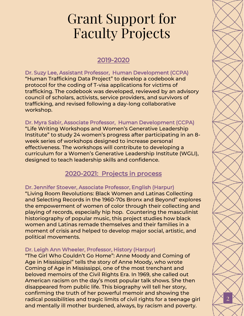## Grant Support for Faculty Projects

#### 2019-2020

Dr. Suzy Lee, Assistant Professor, Human Development (CCPA) "Human Trafficking Data Project" to develop a codebook and protocol for the coding of T-visa applications for victims of trafficking. The codebook was developed, reviewed by an advisory council of scholars, activists, service providers, and survivors of trafficking, and revised following a day-long collaborative workshop.

#### Dr. Myra Sabir, Associate Professor, Human Development (CCPA)

"Life Writing Workshops and Women's Generative Leadership Institute" to study 24 women's progress after participating in an 8 week series of workshops designed to increase personal effectiveness. The workshops will contribute to developing a curriculum for a Women's Generative Leadership Institute (WGLI), designed to teach leadership skills and confidence.

#### 2020-2021: Projects in process

#### Dr. Jennifer Stoever, Associate Professor, English (Harpur)

"Living Room Revolutions: Black Women and Latinas Collecting and Selecting Records in the 1960-70s Bronx and Beyond" explores the empowerment of women of color through their collecting and playing of records, especially hip hop. Countering the masculinist historiography of popular music, this project studies how black women and Latinas remade themselves and their families in a moment of crisis and helped to develop major social, artistic, and political movements.

#### Dr. Leigh Ann Wheeler, Professor, History (Harpur)

"The Girl Who Couldn't Go Home": Anne Moody and Coming of Age in Mississippi" tells the story of Anne Moody, who wrote Coming of Age in Mississippi, one of the most trenchant and beloved memoirs of the Civil Rights Era. In 1969, she called out American racism on the day's most popular talk shows. She then disappeared from public life. This biography will tell her story, confirming the truth of her powerful memoir and showing the radical possibilities and tragic limits of civil rights for a teenage girl and mentally ill mother burdened, always, by racism and poverty.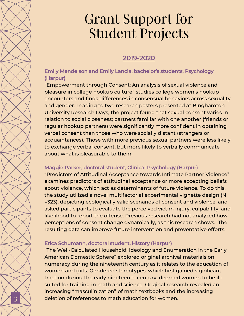## Grant Support for Student Projects

#### 2019-2020

#### Emily Mendelson and Emily Lancia, bachelor's students, Psychology (Harpur)

"Empowerment through Consent: An analysis of sexual violence and pleasure in college hookup culture" studies college women's hookup encounters and finds differences in consensual behaviors across sexuality and gender. Leading to two research posters presented at Binghamton University Research Days, the project found that sexual consent varies in relation to social closeness; partners familiar with one another (friends or regular hookup partners) were significantly more confident in obtaining verbal consent than those who were socially distant (strangers or acquaintances). Those with more previous sexual partners were less likely to exchange verbal consent, but more likely to verbally communicate about what is pleasurable to them.

#### Maggie Parker, doctoral student, Clinical Psychology (Harpur)

"Predictors of Attitudinal Acceptance towards Intimate Partner Violence" examines predictors of attitudinal acceptance or more accepting beliefs about violence, which act as determinants of future violence. To do this, the study utilized a novel multifactorial experimental vignette design (N =323), depicting ecologically valid scenarios of consent and violence, and asked participants to evaluate the perceived victim injury, culpability, and likelihood to report the offense. Previous research had not analyzed how perceptions of consent change dynamically, as this research shows. The resulting data can improve future intervention and preventative efforts.

#### Erica Schumann, doctoral student, History (Harpur)

3

"The Well-Calculated Household: Ideology and Enumeration in the Early American Domestic Sphere" explored original archival materials on numeracy during the nineteenth century as it relates to the education of women and girls. Gendered stereotypes, which first gained significant traction during the early nineteenth century, deemed women to be illsuited for training in math and science. Original research revealed an increasing "masculinization" of math textbooks and the increasing deletion of references to math education for women.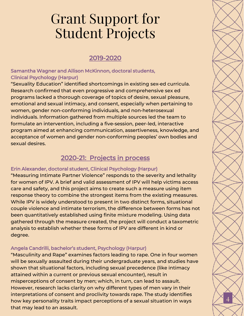## Grant Support for Student Projects

#### 2019-2020

#### Samantha Wagner and Allison McKinnon, doctoral students, Clinical Psychology (Harpur)

"Sexuality Education" identified shortcomings in existing sex-ed curricula. Research confirmed that even progressive and comprehensive sex ed programs lacked a thorough coverage of topics of desire, sexual pleasure, emotional and sexual intimacy, and consent, especially when pertaining to women, gender non-conforming individuals, and non-heterosexual individuals. Information gathered from multiple sources led the team to formulate an intervention, including a five-session, peer-led, interactive program aimed at enhancing communication, assertiveness, knowledge, and acceptance of women and gender non-conforming peoples' own bodies and sexual desires.

#### 2020-21: Projects in process

#### Erin Alexander, doctoral student, Clinical Psychology (Harpur)

"Measuring Intimate Partner Violence" responds to the severity and lethality for women of IPV. A brief and valid assessment of IPV will help victims access care and safety, and this project aims to create such a measure using item response theory to combine the strongest items from the existing measures. While IPV is widely understood to present in two distinct forms, situational couple violence and intimate terrorism, the difference between forms has not been quantitatively established using finite mixture modeling. Using data gathered through the measure created, the project will conduct a taxometric analysis to establish whether these forms of IPV are different in kind or degree.

#### Angela Candrilli, bachelor's student, Psychology (Harpur)

"Masculinity and Rape" examines factors leading to rape. One in four women will be sexually assaulted during their undergraduate years, and studies have shown that situational factors, including sexual precedence (like intimacy attained within a current or previous sexual encounter), result in misperceptions of consent by men; which, in turn, can lead to assault. However, research lacks clarity on why different types of men vary in their interpretations of consent and proclivity towards rape. The study identifies how key personality traits impact perceptions of a sexual situation in ways that may lead to an assault.

4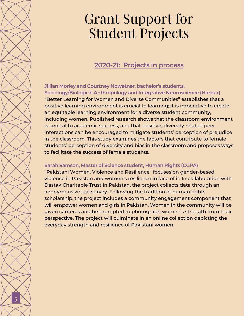## Grant Support for Student Projects

#### 2020-21: Projects in process

#### Jillian Morley and Courtney Nowetner, bachelor's students, Sociology/Biological Anthropology and Integrative Neuroscience (Harpur)

"Better Learning for Women and Diverse Communities" establishes that a positive learning environment is crucial to learning; it is imperative to create an equitable learning environment for a diverse student community, including women. Published research shows that the classroom environment is central to academic success, and that positive, diversity related peer interactions can be encouraged to mitigate students' perception of prejudice in the classroom. This study examines the factors that contribute to female students' perception of diversity and bias in the classroom and proposes ways to facilitate the success of female students.

#### Sarah Samson, Master of Science student, Human Rights (CCPA)

"Pakistani Women, Violence and Resilience" focuses on gender-based violence in Pakistan and women's resilience in face of it. In collaboration with Dastak Charitable Trust in Pakistan, the project collects data through an anonymous virtual survey. Following the tradition of human rights scholarship, the project includes a community engagement component that will empower women and girls in Pakistan. Women in the community will be given cameras and be prompted to photograph women's strength from their perspective. The project will culminate in an online collection depicting the everyday strength and resilience of Pakistani women.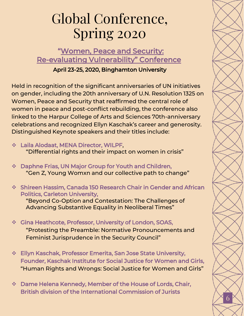## Global Conference, Spring 2020

#### "[Women, Peace and Security:](https://www.binghamton.edu/institutes/hri/events/2020-conference.html) Re-[evaluating Vulnerability"](https://www.binghamton.edu/institutes/hri/events/2020-conference.html) Conference

#### April 23-25, 2020, Binghamton University

Held in recognition of the significant anniversaries of UN initiatives on gender, including the 20th anniversary of U.N. Resolution 1325 on Women, Peace and Security that reaffirmed the central role of women in peace and post-conflict rebuilding, the conference also linked to the Harpur College of Arts and Sciences 70th-anniversary celebrations and recognized Ellyn Kaschak's career and generosity. Distinguished Keynote speakers and their titles include:

- ❖ Laila Alodaat, MENA Director, WILPF, "Differential rights and their impact on women in crisis"
- ❖ Daphne Frias, UN Major Group for Youth and Children, "Gen Z, Young Womxn and our collective path to change"
- ❖ Shireen Hassim, Canada 150 Research Chair in Gender and African Politics, Carleton University,

"Beyond Co-Option and Contestation: The Challenges of Advancing Substantive Equality in Neoliberal Times"

- ❖ Gina Heathcote, Professor, University of London, SOAS, "Protesting the Preamble: Normative Pronouncements and Feminist Jurisprudence in the Security Council"
- ❖ Ellyn Kaschak, Professor Emerita, San Jose State University, Founder, Kaschak Institute for Social Justice for Women and Girls, "Human Rights and Wrongs: Social Justice for Women and Girls"
- ❖ Dame Helena Kennedy, Member of the House of Lords, Chair, British division of the International Commission of Jurists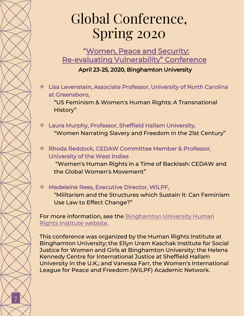## Global Conference, Spring 2020

"[Women, Peace and Security:](https://www.binghamton.edu/institutes/hri/events/2020-conference.html)  Re-[evaluating Vulnerability"](https://www.binghamton.edu/institutes/hri/events/2020-conference.html) Conference

April 23-25, 2020, Binghamton University

❖ Lisa Levenstein, Associate Professor, University of North Carolina at Greensboro,

"US Feminism & Women's Human Rights: A Transnational History"

- ❖ Laura Murphy, Professor, Sheffield Hallam University, "Women Narrating Slavery and Freedom in the 21st Century"
- ❖ Rhoda Reddock, CEDAW Committee Member & Professor, University of the West Indies "Women's Human Rights in a Time of Backlash: CEDAW and the Global Women's Movement"

#### ❖ Madeleine Rees, Executive Director, WILPF,

7

"Militarism and the Structures which Sustain It: Can Feminism Use Law to Effect Change?"

For more information, see the Binghamton University Human Rights Institute website.

This conference was organized by the Human Rights Institute at Binghamton University; the Ellyn Uram Kaschak Institute for Social Justice for Women and Girls at Binghamton University; the Helena Kennedy Centre for International Justice at Sheffield Hallam University in the U.K.; and Vanessa Farr, the Women's International League for Peace and Freedom (WILPF) Academic Network.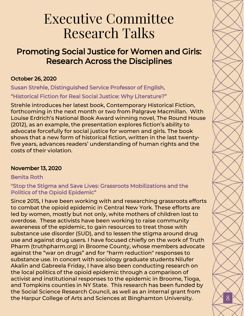## Executive Committee Research Talks

#### Promoting Social Justice for Women and Girls: Research Across the Disciplines

#### October 26, 2020

Susan Strehle, Distinguished Service Professor of English, "Historical Fiction for Real Social Justice: Why Literature?"

Strehle introduces her latest book, Contemporary Historical Fiction, forthcoming in the next month or two from Palgrave Macmillan. With Louise Erdrich's National Book Award winning novel, The Round House (2012), as an example, the presentation explores fiction's ability to advocate forcefully for social justice for women and girls. The book shows that a new form of historical fiction, written in the last twentyfive years, advances readers' understanding of human rights and the costs of their violation.

#### November 13, 2020

#### Benita Roth

#### "Stop the Stigma and Save Lives: Grassroots Mobilizations and the Politics of the Opioid Epidemic"

Since 2015, I have been working with and researching grassroots efforts to combat the opioid epidemic in Central New York. These efforts are led by women, mostly but not only, white mothers of children lost to overdose. These activists have been working to raise community awareness of the epidemic, to gain resources to treat those with substance use disorder (SUD), and to lessen the stigma around drug use and against drug users. I have focused chiefly on the work of Truth Pharm (truthpharm.org) in Broome County, whose members advocate against the "war on drugs" and for "harm reduction" responses to substance use. In concert with sociology graduate students Nilufer Akalin and Gabreela Friday, I have also been conducting research on the local politics of the opioid epidemic through a comparison of activist and institutional responses to the epidemic in Broome, Tioga, and Tompkins counties in NY State. This research has been funded by the Social Science Research Council, as well as an internal grant from the Harpur College of Arts and Sciences at Binghamton University.  $\mathbb{Z}^8$  8